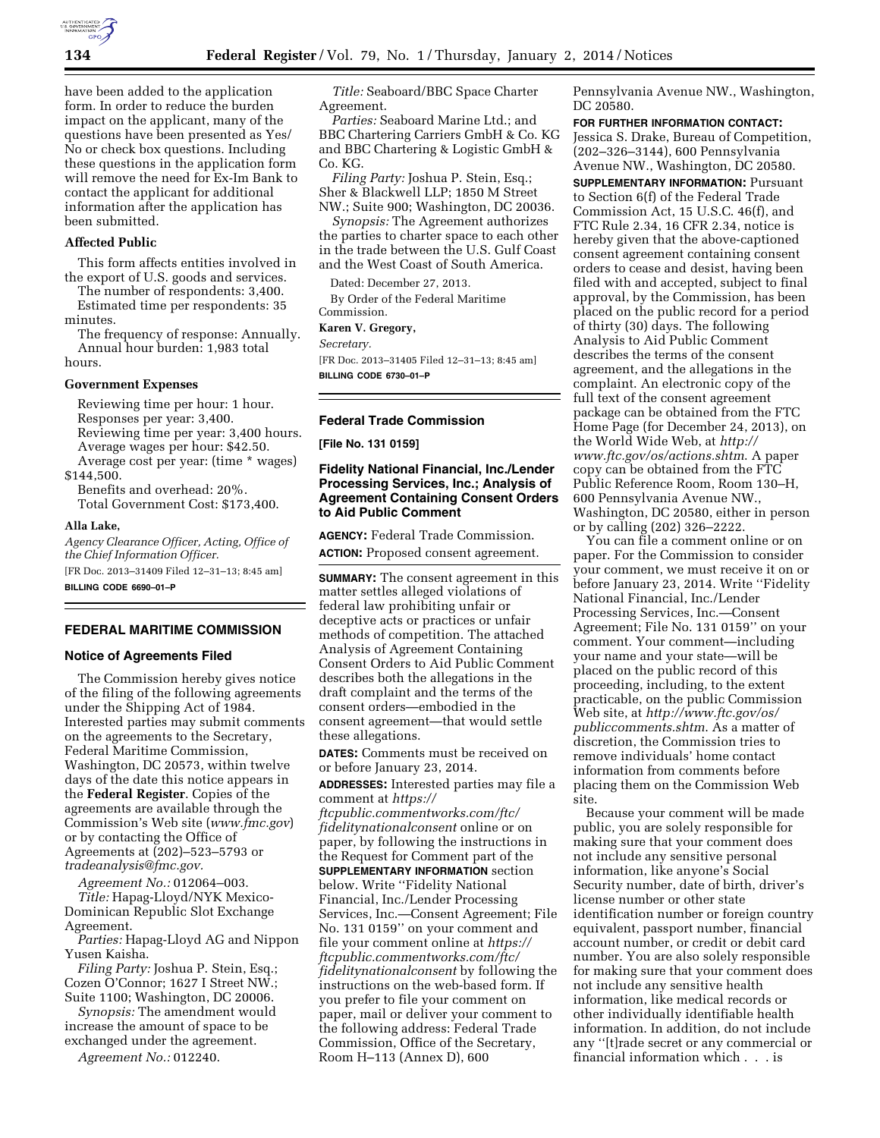

have been added to the application form. In order to reduce the burden impact on the applicant, many of the questions have been presented as Yes/ No or check box questions. Including these questions in the application form will remove the need for Ex-Im Bank to contact the applicant for additional information after the application has been submitted.

### **Affected Public**

This form affects entities involved in the export of U.S. goods and services.

The number of respondents: 3,400. Estimated time per respondents: 35 minutes.

The frequency of response: Annually. Annual hour burden: 1,983 total hours.

#### **Government Expenses**

Reviewing time per hour: 1 hour. Responses per year: 3,400. Reviewing time per year: 3,400 hours. Average wages per hour: \$42.50. Average cost per year: (time \* wages)

\$144,500.

Benefits and overhead: 20%. Total Government Cost: \$173,400.

#### **Alla Lake,**

*Agency Clearance Officer, Acting, Office of the Chief Information Officer.*  [FR Doc. 2013–31409 Filed 12–31–13; 8:45 am]

**BILLING CODE 6690–01–P** 

### **FEDERAL MARITIME COMMISSION**

#### **Notice of Agreements Filed**

The Commission hereby gives notice of the filing of the following agreements under the Shipping Act of 1984. Interested parties may submit comments on the agreements to the Secretary, Federal Maritime Commission, Washington, DC 20573, within twelve days of the date this notice appears in the **Federal Register**. Copies of the agreements are available through the Commission's Web site (*[www.fmc.gov](http://www.fmc.gov)*) or by contacting the Office of Agreements at (202)–523–5793 or *[tradeanalysis@fmc.gov.](mailto:tradeanalysis@fmc.gov)* 

*Agreement No.:* 012064–003. *Title:* Hapag-Lloyd/NYK Mexico-Dominican Republic Slot Exchange Agreement.

*Parties:* Hapag-Lloyd AG and Nippon Yusen Kaisha.

*Filing Party:* Joshua P. Stein, Esq.; Cozen O'Connor; 1627 I Street NW.; Suite 1100; Washington, DC 20006.

*Synopsis:* The amendment would increase the amount of space to be exchanged under the agreement.

*Agreement No.:* 012240.

*Title:* Seaboard/BBC Space Charter Agreement.

*Parties:* Seaboard Marine Ltd.; and BBC Chartering Carriers GmbH & Co. KG and BBC Chartering & Logistic GmbH & Co. KG.

*Filing Party:* Joshua P. Stein, Esq.; Sher & Blackwell LLP; 1850 M Street NW.; Suite 900; Washington, DC 20036.

*Synopsis:* The Agreement authorizes the parties to charter space to each other in the trade between the U.S. Gulf Coast and the West Coast of South America.

Dated: December 27, 2013.

By Order of the Federal Maritime Commission.

#### **Karen V. Gregory,**

*Secretary.* 

[FR Doc. 2013–31405 Filed 12–31–13; 8:45 am] **BILLING CODE 6730–01–P** 

#### **Federal Trade Commission**

**[File No. 131 0159]** 

### **Fidelity National Financial, Inc./Lender Processing Services, Inc.; Analysis of Agreement Containing Consent Orders to Aid Public Comment**

**AGENCY:** Federal Trade Commission. **ACTION:** Proposed consent agreement.

**SUMMARY:** The consent agreement in this matter settles alleged violations of federal law prohibiting unfair or deceptive acts or practices or unfair methods of competition. The attached Analysis of Agreement Containing Consent Orders to Aid Public Comment describes both the allegations in the draft complaint and the terms of the consent orders—embodied in the consent agreement—that would settle these allegations.

**DATES:** Comments must be received on or before January 23, 2014.

**ADDRESSES:** Interested parties may file a comment at *[https://](https://ftcpublic.commentworks.com/ftc/fidelitynationalconsent)*

*[ftcpublic.commentworks.com/ftc/](https://ftcpublic.commentworks.com/ftc/fidelitynationalconsent) [fidelitynationalconsent](https://ftcpublic.commentworks.com/ftc/fidelitynationalconsent)* online or on paper, by following the instructions in the Request for Comment part of the **SUPPLEMENTARY INFORMATION** section below. Write ''Fidelity National Financial, Inc./Lender Processing Services, Inc.—Consent Agreement; File No. 131 0159'' on your comment and file your comment online at *[https://](https://ftcpublic.commentworks.com/ftc/fidelitynationalconsent) [ftcpublic.commentworks.com/ftc/](https://ftcpublic.commentworks.com/ftc/fidelitynationalconsent) [fidelitynationalconsent](https://ftcpublic.commentworks.com/ftc/fidelitynationalconsent)* by following the instructions on the web-based form. If you prefer to file your comment on paper, mail or deliver your comment to the following address: Federal Trade Commission, Office of the Secretary, Room H–113 (Annex D), 600

Pennsylvania Avenue NW., Washington, DC 20580.

**FOR FURTHER INFORMATION CONTACT:**  Jessica S. Drake, Bureau of Competition, (202–326–3144), 600 Pennsylvania Avenue NW., Washington, DC 20580.

**SUPPLEMENTARY INFORMATION: Pursuant** to Section 6(f) of the Federal Trade Commission Act, 15 U.S.C. 46(f), and FTC Rule 2.34, 16 CFR 2.34, notice is hereby given that the above-captioned consent agreement containing consent orders to cease and desist, having been filed with and accepted, subject to final approval, by the Commission, has been placed on the public record for a period of thirty (30) days. The following Analysis to Aid Public Comment describes the terms of the consent agreement, and the allegations in the complaint. An electronic copy of the full text of the consent agreement package can be obtained from the FTC Home Page (for December 24, 2013), on the World Wide Web, at *[http://](http://www.ftc.gov/os/actions.shtm) [www.ftc.gov/os/actions.shtm](http://www.ftc.gov/os/actions.shtm)*. A paper copy can be obtained from the FTC Public Reference Room, Room 130–H, 600 Pennsylvania Avenue NW., Washington, DC 20580, either in person or by calling (202) 326–2222.

You can file a comment online or on paper. For the Commission to consider your comment, we must receive it on or before January 23, 2014. Write ''Fidelity National Financial, Inc./Lender Processing Services, Inc.—Consent Agreement; File No. 131 0159'' on your comment. Your comment—including your name and your state—will be placed on the public record of this proceeding, including, to the extent practicable, on the public Commission Web site, at *[http://www.ftc.gov/os/](http://www.ftc.gov/os/publiccomments.shtm) [publiccomments.shtm](http://www.ftc.gov/os/publiccomments.shtm)*. As a matter of discretion, the Commission tries to remove individuals' home contact information from comments before placing them on the Commission Web site.

Because your comment will be made public, you are solely responsible for making sure that your comment does not include any sensitive personal information, like anyone's Social Security number, date of birth, driver's license number or other state identification number or foreign country equivalent, passport number, financial account number, or credit or debit card number. You are also solely responsible for making sure that your comment does not include any sensitive health information, like medical records or other individually identifiable health information. In addition, do not include any ''[t]rade secret or any commercial or financial information which . . . is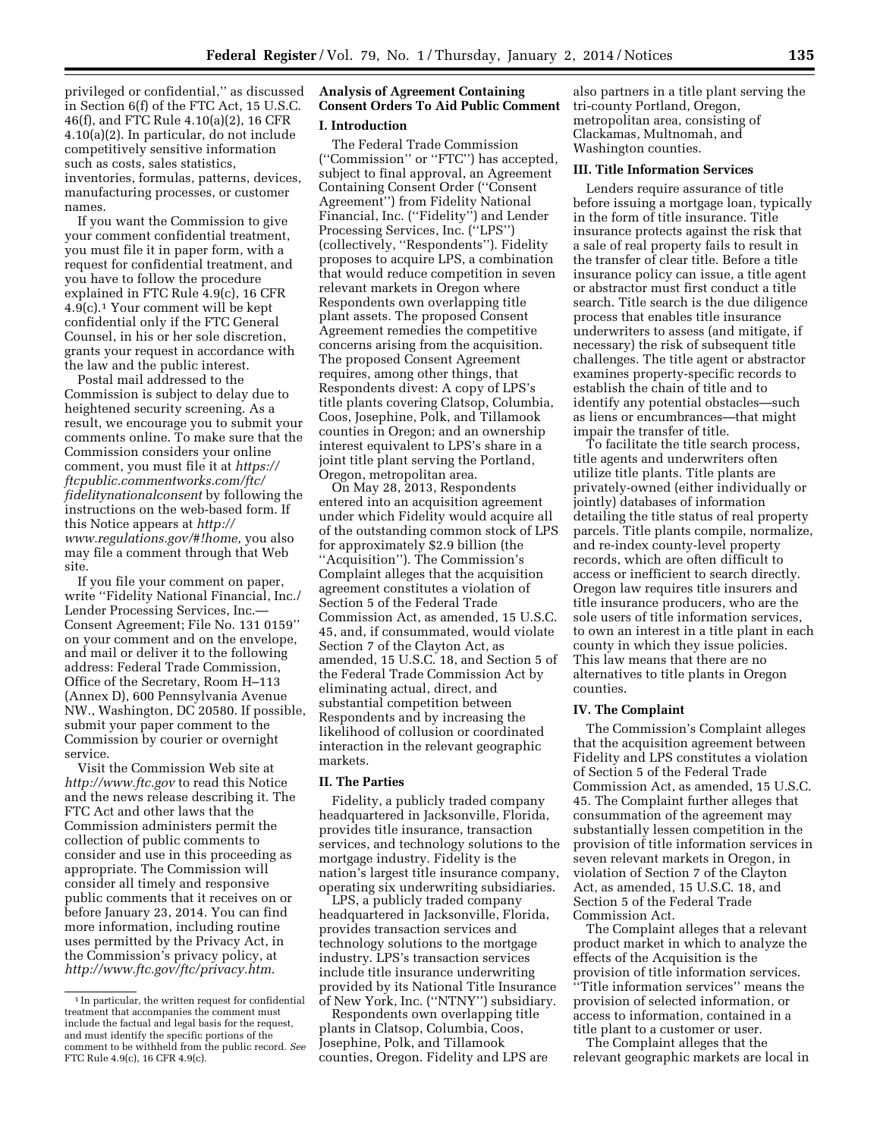privileged or confidential,'' as discussed in Section 6(f) of the FTC Act, 15 U.S.C. 46(f), and FTC Rule 4.10(a)(2), 16 CFR 4.10(a)(2). In particular, do not include competitively sensitive information such as costs, sales statistics, inventories, formulas, patterns, devices, manufacturing processes, or customer names.

If you want the Commission to give your comment confidential treatment, you must file it in paper form, with a request for confidential treatment, and you have to follow the procedure explained in FTC Rule 4.9(c), 16 CFR 4.9(c).1 Your comment will be kept confidential only if the FTC General Counsel, in his or her sole discretion, grants your request in accordance with the law and the public interest.

Postal mail addressed to the Commission is subject to delay due to heightened security screening. As a result, we encourage you to submit your comments online. To make sure that the Commission considers your online comment, you must file it at *[https://](https://ftcpublic.commentworks.com/ftc/fidelitynationalconsent) [ftcpublic.commentworks.com/ftc/](https://ftcpublic.commentworks.com/ftc/fidelitynationalconsent) [fidelitynationalconsent](https://ftcpublic.commentworks.com/ftc/fidelitynationalconsent)* by following the instructions on the web-based form. If this Notice appears at *[http://](http://www.regulations.gov/#!home) [www.regulations.gov/#!home](http://www.regulations.gov/#!home)*, you also may file a comment through that Web site.

If you file your comment on paper, write ''Fidelity National Financial, Inc./ Lender Processing Services, Inc.— Consent Agreement; File No. 131 0159'' on your comment and on the envelope, and mail or deliver it to the following address: Federal Trade Commission, Office of the Secretary, Room H–113 (Annex D), 600 Pennsylvania Avenue NW., Washington, DC 20580. If possible, submit your paper comment to the Commission by courier or overnight service.

Visit the Commission Web site at *<http://www.ftc.gov>*to read this Notice and the news release describing it. The FTC Act and other laws that the Commission administers permit the collection of public comments to consider and use in this proceeding as appropriate. The Commission will consider all timely and responsive public comments that it receives on or before January 23, 2014. You can find more information, including routine uses permitted by the Privacy Act, in the Commission's privacy policy, at *<http://www.ftc.gov/ftc/privacy.htm>*.

# **Analysis of Agreement Containing Consent Orders To Aid Public Comment**

### **I. Introduction**

The Federal Trade Commission (''Commission'' or ''FTC'') has accepted, subject to final approval, an Agreement Containing Consent Order (''Consent Agreement'') from Fidelity National Financial, Inc. (''Fidelity'') and Lender Processing Services, Inc. (''LPS'') (collectively, ''Respondents''). Fidelity proposes to acquire LPS, a combination that would reduce competition in seven relevant markets in Oregon where Respondents own overlapping title plant assets. The proposed Consent Agreement remedies the competitive concerns arising from the acquisition. The proposed Consent Agreement requires, among other things, that Respondents divest: A copy of LPS's title plants covering Clatsop, Columbia, Coos, Josephine, Polk, and Tillamook counties in Oregon; and an ownership interest equivalent to LPS's share in a joint title plant serving the Portland, Oregon, metropolitan area.

On May 28, 2013, Respondents entered into an acquisition agreement under which Fidelity would acquire all of the outstanding common stock of LPS for approximately \$2.9 billion (the ''Acquisition''). The Commission's Complaint alleges that the acquisition agreement constitutes a violation of Section 5 of the Federal Trade Commission Act, as amended, 15 U.S.C. 45, and, if consummated, would violate Section 7 of the Clayton Act, as amended, 15 U.S.C. 18, and Section 5 of the Federal Trade Commission Act by eliminating actual, direct, and substantial competition between Respondents and by increasing the likelihood of collusion or coordinated interaction in the relevant geographic markets.

#### **II. The Parties**

Fidelity, a publicly traded company headquartered in Jacksonville, Florida, provides title insurance, transaction services, and technology solutions to the mortgage industry. Fidelity is the nation's largest title insurance company, operating six underwriting subsidiaries.

LPS, a publicly traded company headquartered in Jacksonville, Florida, provides transaction services and technology solutions to the mortgage industry. LPS's transaction services include title insurance underwriting provided by its National Title Insurance of New York, Inc. (''NTNY'') subsidiary.

Respondents own overlapping title plants in Clatsop, Columbia, Coos, Josephine, Polk, and Tillamook counties, Oregon. Fidelity and LPS are

also partners in a title plant serving the tri-county Portland, Oregon, metropolitan area, consisting of Clackamas, Multnomah, and Washington counties.

### **III. Title Information Services**

Lenders require assurance of title before issuing a mortgage loan, typically in the form of title insurance. Title insurance protects against the risk that a sale of real property fails to result in the transfer of clear title. Before a title insurance policy can issue, a title agent or abstractor must first conduct a title search. Title search is the due diligence process that enables title insurance underwriters to assess (and mitigate, if necessary) the risk of subsequent title challenges. The title agent or abstractor examines property-specific records to establish the chain of title and to identify any potential obstacles—such as liens or encumbrances—that might impair the transfer of title.

To facilitate the title search process, title agents and underwriters often utilize title plants. Title plants are privately-owned (either individually or jointly) databases of information detailing the title status of real property parcels. Title plants compile, normalize, and re-index county-level property records, which are often difficult to access or inefficient to search directly. Oregon law requires title insurers and title insurance producers, who are the sole users of title information services, to own an interest in a title plant in each county in which they issue policies. This law means that there are no alternatives to title plants in Oregon counties.

# **IV. The Complaint**

The Commission's Complaint alleges that the acquisition agreement between Fidelity and LPS constitutes a violation of Section 5 of the Federal Trade Commission Act, as amended, 15 U.S.C. 45. The Complaint further alleges that consummation of the agreement may substantially lessen competition in the provision of title information services in seven relevant markets in Oregon, in violation of Section 7 of the Clayton Act, as amended, 15 U.S.C. 18, and Section 5 of the Federal Trade Commission Act.

The Complaint alleges that a relevant product market in which to analyze the effects of the Acquisition is the provision of title information services. ''Title information services'' means the provision of selected information, or access to information, contained in a title plant to a customer or user.

The Complaint alleges that the relevant geographic markets are local in

<sup>1</sup> In particular, the written request for confidential treatment that accompanies the comment must include the factual and legal basis for the request, and must identify the specific portions of the comment to be withheld from the public record. *See*  FTC Rule 4.9(c), 16 CFR 4.9(c).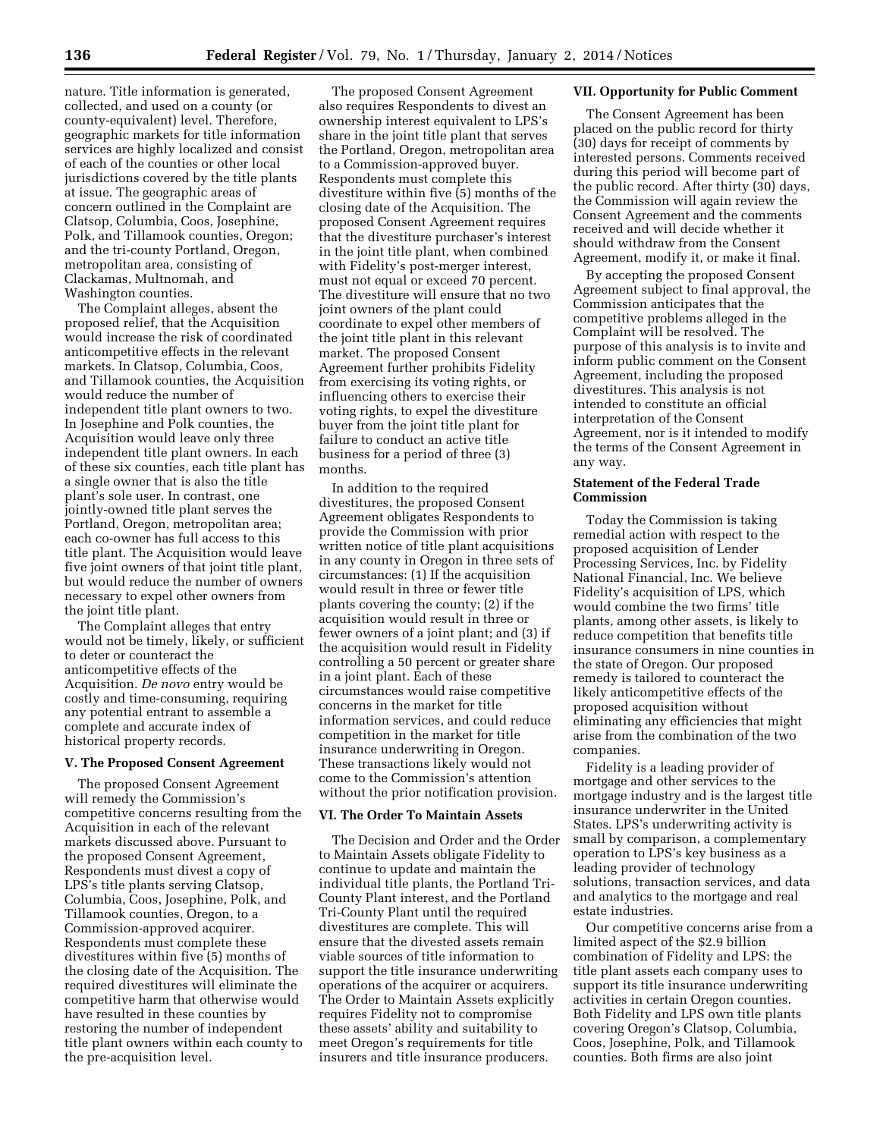nature. Title information is generated, collected, and used on a county (or county-equivalent) level. Therefore, geographic markets for title information services are highly localized and consist of each of the counties or other local jurisdictions covered by the title plants at issue. The geographic areas of concern outlined in the Complaint are Clatsop, Columbia, Coos, Josephine, Polk, and Tillamook counties, Oregon; and the tri-county Portland, Oregon, metropolitan area, consisting of Clackamas, Multnomah, and Washington counties.

The Complaint alleges, absent the proposed relief, that the Acquisition would increase the risk of coordinated anticompetitive effects in the relevant markets. In Clatsop, Columbia, Coos, and Tillamook counties, the Acquisition would reduce the number of independent title plant owners to two. In Josephine and Polk counties, the Acquisition would leave only three independent title plant owners. In each of these six counties, each title plant has a single owner that is also the title plant's sole user. In contrast, one jointly-owned title plant serves the Portland, Oregon, metropolitan area; each co-owner has full access to this title plant. The Acquisition would leave five joint owners of that joint title plant, but would reduce the number of owners necessary to expel other owners from the joint title plant.

The Complaint alleges that entry would not be timely, likely, or sufficient to deter or counteract the anticompetitive effects of the Acquisition. *De novo* entry would be costly and time-consuming, requiring any potential entrant to assemble a complete and accurate index of historical property records.

#### **V. The Proposed Consent Agreement**

The proposed Consent Agreement will remedy the Commission's competitive concerns resulting from the Acquisition in each of the relevant markets discussed above. Pursuant to the proposed Consent Agreement, Respondents must divest a copy of LPS's title plants serving Clatsop, Columbia, Coos, Josephine, Polk, and Tillamook counties, Oregon, to a Commission-approved acquirer. Respondents must complete these divestitures within five (5) months of the closing date of the Acquisition. The required divestitures will eliminate the competitive harm that otherwise would have resulted in these counties by restoring the number of independent title plant owners within each county to the pre-acquisition level.

The proposed Consent Agreement also requires Respondents to divest an ownership interest equivalent to LPS's share in the joint title plant that serves the Portland, Oregon, metropolitan area to a Commission-approved buyer. Respondents must complete this divestiture within five (5) months of the closing date of the Acquisition. The proposed Consent Agreement requires that the divestiture purchaser's interest in the joint title plant, when combined with Fidelity's post-merger interest, must not equal or exceed 70 percent. The divestiture will ensure that no two joint owners of the plant could coordinate to expel other members of the joint title plant in this relevant market. The proposed Consent Agreement further prohibits Fidelity from exercising its voting rights, or influencing others to exercise their voting rights, to expel the divestiture buyer from the joint title plant for failure to conduct an active title business for a period of three (3) months.

In addition to the required divestitures, the proposed Consent Agreement obligates Respondents to provide the Commission with prior written notice of title plant acquisitions in any county in Oregon in three sets of circumstances: (1) If the acquisition would result in three or fewer title plants covering the county; (2) if the acquisition would result in three or fewer owners of a joint plant; and (3) if the acquisition would result in Fidelity controlling a 50 percent or greater share in a joint plant. Each of these circumstances would raise competitive concerns in the market for title information services, and could reduce competition in the market for title insurance underwriting in Oregon. These transactions likely would not come to the Commission's attention without the prior notification provision.

#### **VI. The Order To Maintain Assets**

The Decision and Order and the Order to Maintain Assets obligate Fidelity to continue to update and maintain the individual title plants, the Portland Tri-County Plant interest, and the Portland Tri-County Plant until the required divestitures are complete. This will ensure that the divested assets remain viable sources of title information to support the title insurance underwriting operations of the acquirer or acquirers. The Order to Maintain Assets explicitly requires Fidelity not to compromise these assets' ability and suitability to meet Oregon's requirements for title insurers and title insurance producers.

#### **VII. Opportunity for Public Comment**

The Consent Agreement has been placed on the public record for thirty (30) days for receipt of comments by interested persons. Comments received during this period will become part of the public record. After thirty (30) days, the Commission will again review the Consent Agreement and the comments received and will decide whether it should withdraw from the Consent Agreement, modify it, or make it final.

By accepting the proposed Consent Agreement subject to final approval, the Commission anticipates that the competitive problems alleged in the Complaint will be resolved. The purpose of this analysis is to invite and inform public comment on the Consent Agreement, including the proposed divestitures. This analysis is not intended to constitute an official interpretation of the Consent Agreement, nor is it intended to modify the terms of the Consent Agreement in any way.

### **Statement of the Federal Trade Commission**

Today the Commission is taking remedial action with respect to the proposed acquisition of Lender Processing Services, Inc. by Fidelity National Financial, Inc. We believe Fidelity's acquisition of LPS, which would combine the two firms' title plants, among other assets, is likely to reduce competition that benefits title insurance consumers in nine counties in the state of Oregon. Our proposed remedy is tailored to counteract the likely anticompetitive effects of the proposed acquisition without eliminating any efficiencies that might arise from the combination of the two companies.

Fidelity is a leading provider of mortgage and other services to the mortgage industry and is the largest title insurance underwriter in the United States. LPS's underwriting activity is small by comparison, a complementary operation to LPS's key business as a leading provider of technology solutions, transaction services, and data and analytics to the mortgage and real estate industries.

Our competitive concerns arise from a limited aspect of the \$2.9 billion combination of Fidelity and LPS: the title plant assets each company uses to support its title insurance underwriting activities in certain Oregon counties. Both Fidelity and LPS own title plants covering Oregon's Clatsop, Columbia, Coos, Josephine, Polk, and Tillamook counties. Both firms are also joint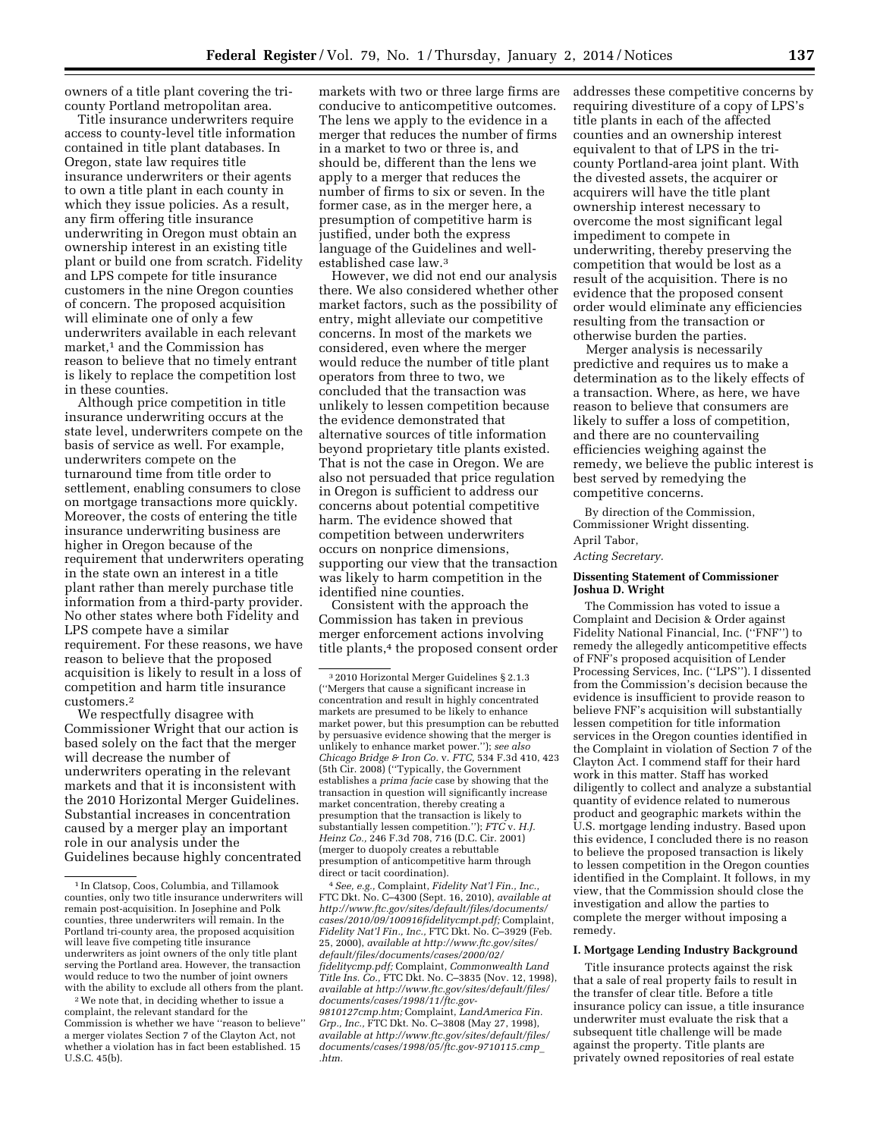owners of a title plant covering the tricounty Portland metropolitan area.

Title insurance underwriters require access to county-level title information contained in title plant databases. In Oregon, state law requires title insurance underwriters or their agents to own a title plant in each county in which they issue policies. As a result, any firm offering title insurance underwriting in Oregon must obtain an ownership interest in an existing title plant or build one from scratch. Fidelity and LPS compete for title insurance customers in the nine Oregon counties of concern. The proposed acquisition will eliminate one of only a few underwriters available in each relevant market,<sup>1</sup> and the Commission has reason to believe that no timely entrant is likely to replace the competition lost in these counties.

Although price competition in title insurance underwriting occurs at the state level, underwriters compete on the basis of service as well. For example, underwriters compete on the turnaround time from title order to settlement, enabling consumers to close on mortgage transactions more quickly. Moreover, the costs of entering the title insurance underwriting business are higher in Oregon because of the requirement that underwriters operating in the state own an interest in a title plant rather than merely purchase title information from a third-party provider. No other states where both Fidelity and LPS compete have a similar requirement. For these reasons, we have reason to believe that the proposed acquisition is likely to result in a loss of competition and harm title insurance customers.2

We respectfully disagree with Commissioner Wright that our action is based solely on the fact that the merger will decrease the number of underwriters operating in the relevant markets and that it is inconsistent with the 2010 Horizontal Merger Guidelines. Substantial increases in concentration caused by a merger play an important role in our analysis under the Guidelines because highly concentrated

markets with two or three large firms are conducive to anticompetitive outcomes. The lens we apply to the evidence in a merger that reduces the number of firms in a market to two or three is, and should be, different than the lens we apply to a merger that reduces the number of firms to six or seven. In the former case, as in the merger here, a presumption of competitive harm is justified, under both the express language of the Guidelines and wellestablished case law.3

However, we did not end our analysis there. We also considered whether other market factors, such as the possibility of entry, might alleviate our competitive concerns. In most of the markets we considered, even where the merger would reduce the number of title plant operators from three to two, we concluded that the transaction was unlikely to lessen competition because the evidence demonstrated that alternative sources of title information beyond proprietary title plants existed. That is not the case in Oregon. We are also not persuaded that price regulation in Oregon is sufficient to address our concerns about potential competitive harm. The evidence showed that competition between underwriters occurs on nonprice dimensions, supporting our view that the transaction was likely to harm competition in the identified nine counties.

Consistent with the approach the Commission has taken in previous merger enforcement actions involving title plants,<sup>4</sup> the proposed consent order

4*See, e.g.,* Complaint, *Fidelity Nat'l Fin., Inc.,*  FTC Dkt. No. C–4300 (Sept. 16, 2010), *available at [http://www.ftc.gov/sites/default/files/documents/](http://www.ftc.gov/sites/default/files/documents/cases/2010/09/100916fidelitycmpt.pdf) [cases/2010/09/100916fidelitycmpt.pdf;](http://www.ftc.gov/sites/default/files/documents/cases/2010/09/100916fidelitycmpt.pdf)* Complaint, *Fidelity Nat'l Fin., Inc.,* FTC Dkt. No. C–3929 (Feb. 25, 2000), *available at [http://www.ftc.gov/sites/](http://www.ftc.gov/sites/default/files/documents/cases/2000/02/fidelitycmp.pdf) [default/files/documents/cases/2000/02/](http://www.ftc.gov/sites/default/files/documents/cases/2000/02/fidelitycmp.pdf) [fidelitycmp.pdf;](http://www.ftc.gov/sites/default/files/documents/cases/2000/02/fidelitycmp.pdf)* Complaint, *Commonwealth Land Title Ins. Co.,* FTC Dkt. No. C–3835 (Nov. 12, 1998), *available at [http://www.ftc.gov/sites/default/files/](http://www.ftc.gov/sites/default/files/documents/cases/1998/11/ftc.gov-9810127cmp.htm) [documents/cases/1998/11/ftc.gov-](http://www.ftc.gov/sites/default/files/documents/cases/1998/11/ftc.gov-9810127cmp.htm)[9810127cmp.htm;](http://www.ftc.gov/sites/default/files/documents/cases/1998/11/ftc.gov-9810127cmp.htm)* Complaint, *LandAmerica Fin. Grp., Inc.,* FTC Dkt. No. C–3808 (May 27, 1998), *available at [http://www.ftc.gov/sites/default/files/](http://www.ftc.gov/sites/default/files/documents/cases/1998/05/ftc.gov-9710115.cmp_.htm) [documents/cases/1998/05/ftc.gov-9710115.cmp](http://www.ftc.gov/sites/default/files/documents/cases/1998/05/ftc.gov-9710115.cmp_.htm)*\_ *[.htm.](http://www.ftc.gov/sites/default/files/documents/cases/1998/05/ftc.gov-9710115.cmp_.htm)* 

addresses these competitive concerns by requiring divestiture of a copy of LPS's title plants in each of the affected counties and an ownership interest equivalent to that of LPS in the tricounty Portland-area joint plant. With the divested assets, the acquirer or acquirers will have the title plant ownership interest necessary to overcome the most significant legal impediment to compete in underwriting, thereby preserving the competition that would be lost as a result of the acquisition. There is no evidence that the proposed consent order would eliminate any efficiencies resulting from the transaction or otherwise burden the parties.

Merger analysis is necessarily predictive and requires us to make a determination as to the likely effects of a transaction. Where, as here, we have reason to believe that consumers are likely to suffer a loss of competition, and there are no countervailing efficiencies weighing against the remedy, we believe the public interest is best served by remedying the competitive concerns.

By direction of the Commission, Commissioner Wright dissenting. April Tabor,

#### *Acting Secretary.*

### **Dissenting Statement of Commissioner Joshua D. Wright**

The Commission has voted to issue a Complaint and Decision & Order against Fidelity National Financial, Inc. (''FNF'') to remedy the allegedly anticompetitive effects of FNF's proposed acquisition of Lender Processing Services, Inc. (''LPS''). I dissented from the Commission's decision because the evidence is insufficient to provide reason to believe FNF's acquisition will substantially lessen competition for title information services in the Oregon counties identified in the Complaint in violation of Section 7 of the Clayton Act. I commend staff for their hard work in this matter. Staff has worked diligently to collect and analyze a substantial quantity of evidence related to numerous product and geographic markets within the U.S. mortgage lending industry. Based upon this evidence, I concluded there is no reason to believe the proposed transaction is likely to lessen competition in the Oregon counties identified in the Complaint. It follows, in my view, that the Commission should close the investigation and allow the parties to complete the merger without imposing a remedy.

### **I. Mortgage Lending Industry Background**

Title insurance protects against the risk that a sale of real property fails to result in the transfer of clear title. Before a title insurance policy can issue, a title insurance underwriter must evaluate the risk that a subsequent title challenge will be made against the property. Title plants are privately owned repositories of real estate

<sup>1</sup> In Clatsop, Coos, Columbia, and Tillamook counties, only two title insurance underwriters will remain post-acquisition. In Josephine and Polk counties, three underwriters will remain. In the Portland tri-county area, the proposed acquisition will leave five competing title insurance underwriters as joint owners of the only title plant serving the Portland area. However, the transaction would reduce to two the number of joint owners with the ability to exclude all others from the plant.

<sup>2</sup>We note that, in deciding whether to issue a complaint, the relevant standard for the Commission is whether we have ''reason to believe'' a merger violates Section 7 of the Clayton Act, not whether a violation has in fact been established. 15 U.S.C. 45(b).

<sup>3</sup> 2010 Horizontal Merger Guidelines § 2.1.3 (''Mergers that cause a significant increase in concentration and result in highly concentrated markets are presumed to be likely to enhance market power, but this presumption can be rebutted by persuasive evidence showing that the merger is unlikely to enhance market power.''); *see also Chicago Bridge & Iron Co.* v. *FTC,* 534 F.3d 410, 423 (5th Cir. 2008) (''Typically, the Government establishes a *prima facie* case by showing that the transaction in question will significantly increase market concentration, thereby creating a presumption that the transaction is likely to substantially lessen competition.''); *FTC* v. *H.J. Heinz Co.,* 246 F.3d 708, 716 (D.C. Cir. 2001) (merger to duopoly creates a rebuttable presumption of anticompetitive harm through direct or tacit coordination).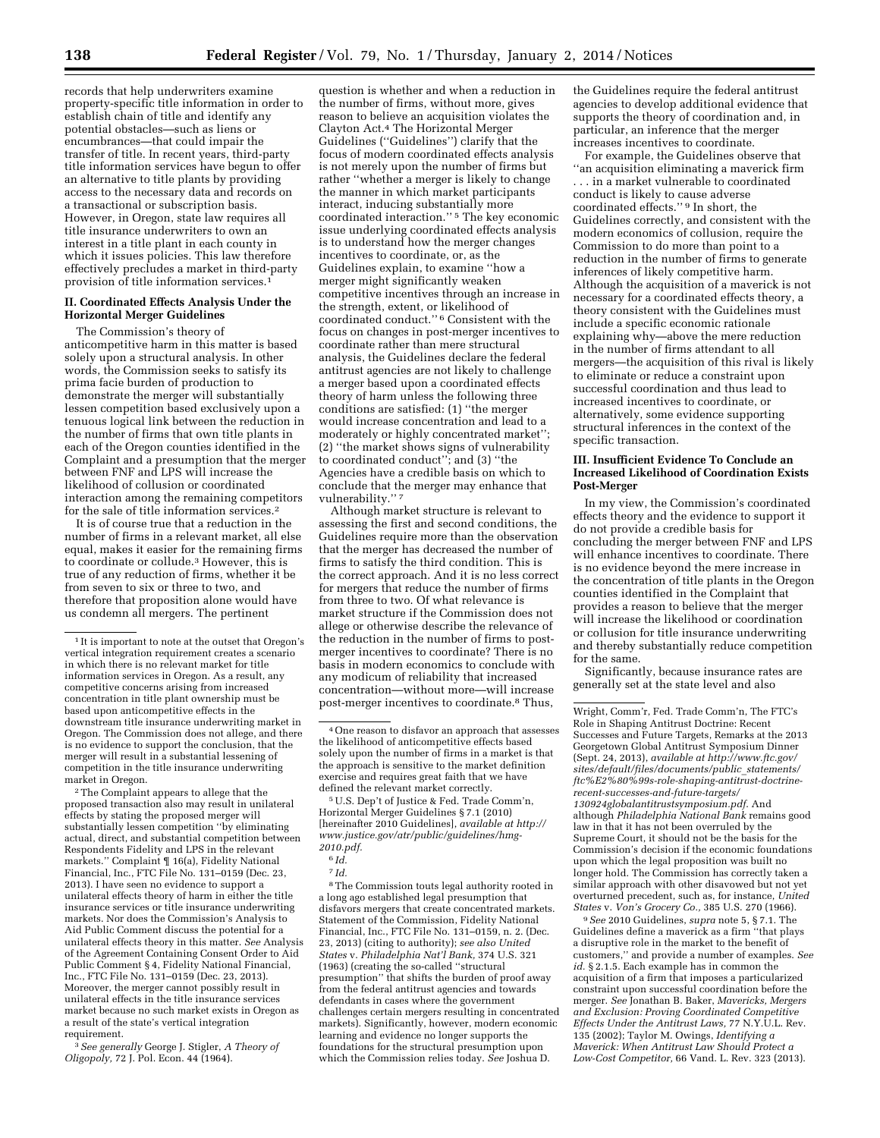records that help underwriters examine property-specific title information in order to establish chain of title and identify any potential obstacles—such as liens or encumbrances—that could impair the transfer of title. In recent years, third-party title information services have begun to offer an alternative to title plants by providing access to the necessary data and records on a transactional or subscription basis. However, in Oregon, state law requires all title insurance underwriters to own an interest in a title plant in each county in which it issues policies. This law therefore effectively precludes a market in third-party provision of title information services.1

#### **II. Coordinated Effects Analysis Under the Horizontal Merger Guidelines**

The Commission's theory of anticompetitive harm in this matter is based solely upon a structural analysis. In other words, the Commission seeks to satisfy its prima facie burden of production to demonstrate the merger will substantially lessen competition based exclusively upon a tenuous logical link between the reduction in the number of firms that own title plants in each of the Oregon counties identified in the Complaint and a presumption that the merger between FNF and LPS will increase the likelihood of collusion or coordinated interaction among the remaining competitors for the sale of title information services.2

It is of course true that a reduction in the number of firms in a relevant market, all else equal, makes it easier for the remaining firms to coordinate or collude.3 However, this is true of any reduction of firms, whether it be from seven to six or three to two, and therefore that proposition alone would have us condemn all mergers. The pertinent

2The Complaint appears to allege that the proposed transaction also may result in unilateral effects by stating the proposed merger will substantially lessen competition ''by eliminating actual, direct, and substantial competition between Respondents Fidelity and LPS in the relevant markets.'' Complaint ¶ 16(a), Fidelity National Financial, Inc., FTC File No. 131–0159 (Dec. 23, 2013). I have seen no evidence to support a unilateral effects theory of harm in either the title insurance services or title insurance underwriting markets. Nor does the Commission's Analysis to Aid Public Comment discuss the potential for a unilateral effects theory in this matter. *See* Analysis of the Agreement Containing Consent Order to Aid Public Comment § 4, Fidelity National Financial, Inc., FTC File No. 131–0159 (Dec. 23, 2013). Moreover, the merger cannot possibly result in unilateral effects in the title insurance services market because no such market exists in Oregon as a result of the state's vertical integration requirement.

3*See generally* George J. Stigler, *A Theory of Oligopoly,* 72 J. Pol. Econ. 44 (1964).

question is whether and when a reduction in the number of firms, without more, gives reason to believe an acquisition violates the Clayton Act.4 The Horizontal Merger Guidelines (''Guidelines'') clarify that the focus of modern coordinated effects analysis is not merely upon the number of firms but rather ''whether a merger is likely to change the manner in which market participants interact, inducing substantially more coordinated interaction.'' 5 The key economic issue underlying coordinated effects analysis is to understand how the merger changes incentives to coordinate, or, as the Guidelines explain, to examine ''how a merger might significantly weaken competitive incentives through an increase in the strength, extent, or likelihood of coordinated conduct.'' 6 Consistent with the focus on changes in post-merger incentives to coordinate rather than mere structural analysis, the Guidelines declare the federal antitrust agencies are not likely to challenge a merger based upon a coordinated effects theory of harm unless the following three conditions are satisfied: (1) ''the merger would increase concentration and lead to a moderately or highly concentrated market''; (2) ''the market shows signs of vulnerability to coordinated conduct''; and (3) ''the Agencies have a credible basis on which to conclude that the merger may enhance that vulnerability.'' 7

Although market structure is relevant to assessing the first and second conditions, the Guidelines require more than the observation that the merger has decreased the number of firms to satisfy the third condition. This is the correct approach. And it is no less correct for mergers that reduce the number of firms from three to two. Of what relevance is market structure if the Commission does not allege or otherwise describe the relevance of the reduction in the number of firms to postmerger incentives to coordinate? There is no basis in modern economics to conclude with any modicum of reliability that increased concentration—without more—will increase post-merger incentives to coordinate.8 Thus,

5U.S. Dep't of Justice & Fed. Trade Comm'n, Horizontal Merger Guidelines § 7.1 (2010) [hereinafter 2010 Guidelines], *available at [http://](http://www.justice.gov/atr/public/guidelines/hmg-2010.pdf) [www.justice.gov/atr/public/guidelines/hmg-](http://www.justice.gov/atr/public/guidelines/hmg-2010.pdf)[2010.pdf.](http://www.justice.gov/atr/public/guidelines/hmg-2010.pdf)* 

6 *Id.* 

7 *Id.* 

8The Commission touts legal authority rooted in a long ago established legal presumption that disfavors mergers that create concentrated markets. Statement of the Commission, Fidelity National Financial, Inc., FTC File No. 131–0159, n. 2. (Dec. 23, 2013) (citing to authority); *see also United States* v. *Philadelphia Nat'l Bank,* 374 U.S. 321 (1963) (creating the so-called ''structural presumption'' that shifts the burden of proof away from the federal antitrust agencies and towards defendants in cases where the government challenges certain mergers resulting in concentrated markets). Significantly, however, modern economic learning and evidence no longer supports the foundations for the structural presumption upon which the Commission relies today. *See* Joshua D.

the Guidelines require the federal antitrust agencies to develop additional evidence that supports the theory of coordination and, in particular, an inference that the merger increases incentives to coordinate.

For example, the Guidelines observe that ''an acquisition eliminating a maverick firm . . . in a market vulnerable to coordinated conduct is likely to cause adverse coordinated effects.'' 9 In short, the Guidelines correctly, and consistent with the modern economics of collusion, require the Commission to do more than point to a reduction in the number of firms to generate inferences of likely competitive harm. Although the acquisition of a maverick is not necessary for a coordinated effects theory, a theory consistent with the Guidelines must include a specific economic rationale explaining why—above the mere reduction in the number of firms attendant to all mergers—the acquisition of this rival is likely to eliminate or reduce a constraint upon successful coordination and thus lead to increased incentives to coordinate, or alternatively, some evidence supporting structural inferences in the context of the specific transaction.

#### **III. Insufficient Evidence To Conclude an Increased Likelihood of Coordination Exists Post-Merger**

In my view, the Commission's coordinated effects theory and the evidence to support it do not provide a credible basis for concluding the merger between FNF and LPS will enhance incentives to coordinate. There is no evidence beyond the mere increase in the concentration of title plants in the Oregon counties identified in the Complaint that provides a reason to believe that the merger will increase the likelihood or coordination or collusion for title insurance underwriting and thereby substantially reduce competition for the same.

Significantly, because insurance rates are generally set at the state level and also

9*See* 2010 Guidelines, *supra* note 5, § 7.1. The Guidelines define a maverick as a firm ''that plays a disruptive role in the market to the benefit of customers,'' and provide a number of examples. *See id.* § 2.1.5. Each example has in common the acquisition of a firm that imposes a particularized constraint upon successful coordination before the merger. *See* Jonathan B. Baker, *Mavericks, Mergers and Exclusion: Proving Coordinated Competitive Effects Under the Antitrust Laws,* 77 N.Y.U.L. Rev. 135 (2002); Taylor M. Owings, *Identifying a Maverick: When Antitrust Law Should Protect a Low-Cost Competitor,* 66 Vand. L. Rev. 323 (2013).

<sup>1</sup> It is important to note at the outset that Oregon's vertical integration requirement creates a scenario in which there is no relevant market for title information services in Oregon. As a result, any competitive concerns arising from increased concentration in title plant ownership must be based upon anticompetitive effects in the downstream title insurance underwriting market in Oregon. The Commission does not allege, and there is no evidence to support the conclusion, that the merger will result in a substantial lessening of competition in the title insurance underwriting market in Oregon.

<sup>4</sup>One reason to disfavor an approach that assesses the likelihood of anticompetitive effects based solely upon the number of firms in a market is that the approach is sensitive to the market definition exercise and requires great faith that we have defined the relevant market correctly.

Wright, Comm'r, Fed. Trade Comm'n, The FTC's Role in Shaping Antitrust Doctrine: Recent Successes and Future Targets, Remarks at the 2013 Georgetown Global Antitrust Symposium Dinner (Sept. 24, 2013), *available at [http://www.ftc.gov/](http://www.ftc.gov/sites/default/files/documents/public_statements/ftc%E2%80%99s-role-shaping-antitrust-doctrine-recent-successes-and-future-targets/130924globalantitrustsymposium.pdf) [sites/default/files/documents/public](http://www.ftc.gov/sites/default/files/documents/public_statements/ftc%E2%80%99s-role-shaping-antitrust-doctrine-recent-successes-and-future-targets/130924globalantitrustsymposium.pdf)*\_*statements/ [ftc%E2%80%99s-role-shaping-antitrust-doctrine](http://www.ftc.gov/sites/default/files/documents/public_statements/ftc%E2%80%99s-role-shaping-antitrust-doctrine-recent-successes-and-future-targets/130924globalantitrustsymposium.pdf)[recent-successes-and-future-targets/](http://www.ftc.gov/sites/default/files/documents/public_statements/ftc%E2%80%99s-role-shaping-antitrust-doctrine-recent-successes-and-future-targets/130924globalantitrustsymposium.pdf) [130924globalantitrustsymposium.pdf](http://www.ftc.gov/sites/default/files/documents/public_statements/ftc%E2%80%99s-role-shaping-antitrust-doctrine-recent-successes-and-future-targets/130924globalantitrustsymposium.pdf)*. And although *Philadelphia National Bank* remains good law in that it has not been overruled by the Supreme Court, it should not be the basis for the Commission's decision if the economic foundations upon which the legal proposition was built no longer hold. The Commission has correctly taken a similar approach with other disavowed but not yet overturned precedent, such as, for instance, *United States* v. *Von's Grocery Co.,* 385 U.S. 270 (1966).